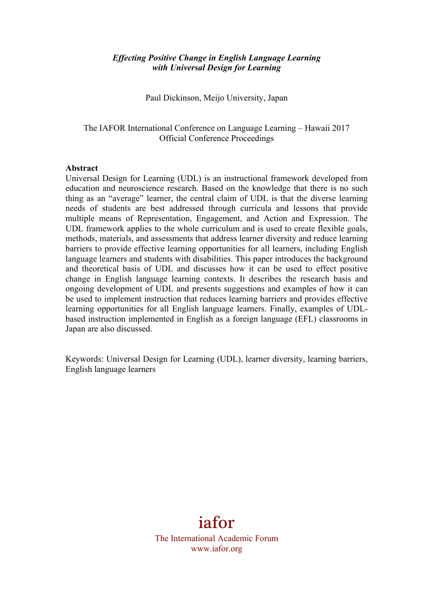### *Effecting Positive Change in English Language Learning with Universal Design for Learning*

Paul Dickinson, Meijo University, Japan

The IAFOR International Conference on Language Learning – Hawaii 2017 Official Conference Proceedings

#### **Abstract**

Universal Design for Learning (UDL) is an instructional framework developed from education and neuroscience research. Based on the knowledge that there is no such thing as an "average" learner, the central claim of UDL is that the diverse learning needs of students are best addressed through curricula and lessons that provide multiple means of Representation, Engagement, and Action and Expression. The UDL framework applies to the whole curriculum and is used to create flexible goals, methods, materials, and assessments that address learner diversity and reduce learning barriers to provide effective learning opportunities for all learners, including English language learners and students with disabilities. This paper introduces the background and theoretical basis of UDL and discusses how it can be used to effect positive change in English language learning contexts. It describes the research basis and ongoing development of UDL and presents suggestions and examples of how it can be used to implement instruction that reduces learning barriers and provides effective learning opportunities for all English language learners. Finally, examples of UDLbased instruction implemented in English as a foreign language (EFL) classrooms in Japan are also discussed.

Keywords: Universal Design for Learning (UDL), learner diversity, learning barriers, English language learners

# iafor

The International Academic Forum www.iafor.org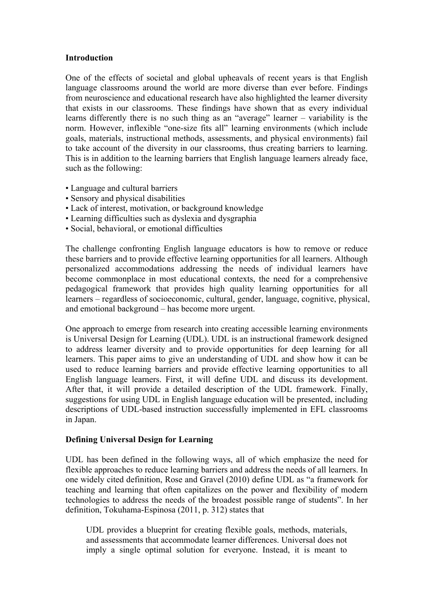#### **Introduction**

One of the effects of societal and global upheavals of recent years is that English language classrooms around the world are more diverse than ever before. Findings from neuroscience and educational research have also highlighted the learner diversity that exists in our classrooms. These findings have shown that as every individual learns differently there is no such thing as an "average" learner – variability is the norm. However, inflexible "one-size fits all" learning environments (which include goals, materials, instructional methods, assessments, and physical environments) fail to take account of the diversity in our classrooms, thus creating barriers to learning. This is in addition to the learning barriers that English language learners already face, such as the following:

- Language and cultural barriers
- Sensory and physical disabilities
- Lack of interest, motivation, or background knowledge
- Learning difficulties such as dyslexia and dysgraphia
- Social, behavioral, or emotional difficulties

The challenge confronting English language educators is how to remove or reduce these barriers and to provide effective learning opportunities for all learners. Although personalized accommodations addressing the needs of individual learners have become commonplace in most educational contexts, the need for a comprehensive pedagogical framework that provides high quality learning opportunities for all learners – regardless of socioeconomic, cultural, gender, language, cognitive, physical, and emotional background – has become more urgent.

One approach to emerge from research into creating accessible learning environments is Universal Design for Learning (UDL). UDL is an instructional framework designed to address learner diversity and to provide opportunities for deep learning for all learners. This paper aims to give an understanding of UDL and show how it can be used to reduce learning barriers and provide effective learning opportunities to all English language learners. First, it will define UDL and discuss its development. After that, it will provide a detailed description of the UDL framework. Finally, suggestions for using UDL in English language education will be presented, including descriptions of UDL-based instruction successfully implemented in EFL classrooms in Japan.

#### **Defining Universal Design for Learning**

UDL has been defined in the following ways, all of which emphasize the need for flexible approaches to reduce learning barriers and address the needs of all learners. In one widely cited definition, Rose and Gravel (2010) define UDL as "a framework for teaching and learning that often capitalizes on the power and flexibility of modern technologies to address the needs of the broadest possible range of students". In her definition, Tokuhama-Espinosa (2011, p. 312) states that

UDL provides a blueprint for creating flexible goals, methods, materials, and assessments that accommodate learner differences. Universal does not imply a single optimal solution for everyone. Instead, it is meant to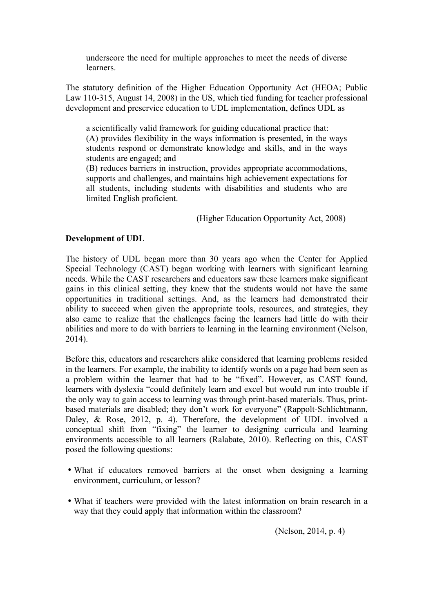underscore the need for multiple approaches to meet the needs of diverse learners.

The statutory definition of the Higher Education Opportunity Act (HEOA; Public Law 110-315, August 14, 2008) in the US, which tied funding for teacher professional development and preservice education to UDL implementation, defines UDL as

a scientifically valid framework for guiding educational practice that: (A) provides flexibility in the ways information is presented, in the ways students respond or demonstrate knowledge and skills, and in the ways students are engaged; and

(B) reduces barriers in instruction, provides appropriate accommodations, supports and challenges, and maintains high achievement expectations for all students, including students with disabilities and students who are limited English proficient.

(Higher Education Opportunity Act, 2008)

## **Development of UDL**

The history of UDL began more than 30 years ago when the Center for Applied Special Technology (CAST) began working with learners with significant learning needs. While the CAST researchers and educators saw these learners make significant gains in this clinical setting, they knew that the students would not have the same opportunities in traditional settings. And, as the learners had demonstrated their ability to succeed when given the appropriate tools, resources, and strategies, they also came to realize that the challenges facing the learners had little do with their abilities and more to do with barriers to learning in the learning environment (Nelson, 2014).

Before this, educators and researchers alike considered that learning problems resided in the learners. For example, the inability to identify words on a page had been seen as a problem within the learner that had to be "fixed". However, as CAST found, learners with dyslexia "could definitely learn and excel but would run into trouble if the only way to gain access to learning was through print-based materials. Thus, printbased materials are disabled; they don't work for everyone" (Rappolt-Schlichtmann, Daley, & Rose, 2012, p. 4). Therefore, the development of UDL involved a conceptual shift from "fixing" the learner to designing curricula and learning environments accessible to all learners (Ralabate, 2010). Reflecting on this, CAST posed the following questions:

- What if educators removed barriers at the onset when designing a learning environment, curriculum, or lesson?
- What if teachers were provided with the latest information on brain research in a way that they could apply that information within the classroom?

(Nelson, 2014, p. 4)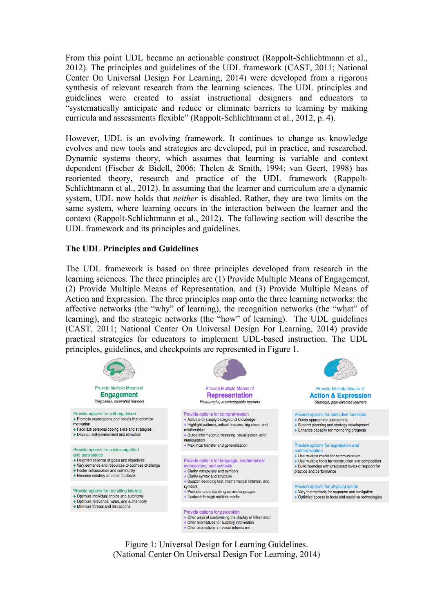From this point UDL became an actionable construct (Rappolt-Schlichtmann et al., 2012). The principles and guidelines of the UDL framework (CAST, 2011; National Center On Universal Design For Learning, 2014) were developed from a rigorous synthesis of relevant research from the learning sciences. The UDL principles and guidelines were created to assist instructional designers and educators to "systematically anticipate and reduce or eliminate barriers to learning by making curricula and assessments flexible" (Rappolt-Schlichtmann et al., 2012, p. 4).

However, UDL is an evolving framework. It continues to change as knowledge evolves and new tools and strategies are developed, put in practice, and researched. Dynamic systems theory, which assumes that learning is variable and context dependent (Fischer & Bidell, 2006; Thelen & Smith, 1994; van Geert, 1998) has reoriented theory, research and practice of the UDL framework (Rappolt-Schlichtmann et al., 2012). In assuming that the learner and curriculum are a dynamic system, UDL now holds that *neither* is disabled. Rather, they are two limits on the same system, where learning occurs in the interaction between the learner and the context (Rappolt-Schlichtmann et al., 2012). The following section will describe the UDL framework and its principles and guidelines.

#### **The UDL Principles and Guidelines**

The UDL framework is based on three principles developed from research in the learning sciences. The three principles are (1) Provide Multiple Means of Engagement, (2) Provide Multiple Means of Representation, and (3) Provide Multiple Means of Action and Expression. The three principles map onto the three learning networks: the affective networks (the "why" of learning), the recognition networks (the "what" of learning), and the strategic networks (the "how" of learning). The UDL guidelines (CAST, 2011; National Center On Universal Design For Learning, 2014) provide practical strategies for educators to implement UDL-based instruction. The UDL principles, guidelines, and checkpoints are represented in Figure 1.



Figure 1: Universal Design for Learning Guidelines. (National Center On Universal Design For Learning, 2014)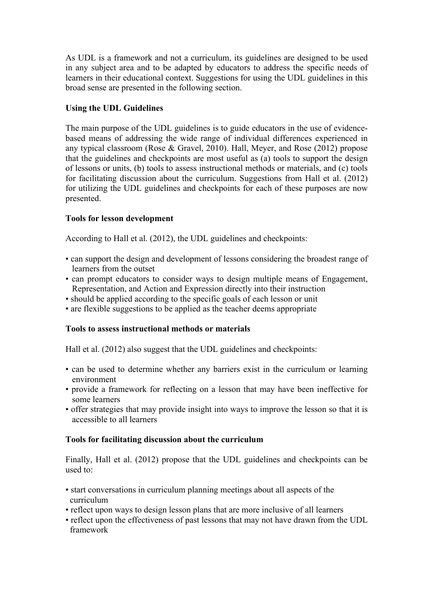As UDL is a framework and not a curriculum, its guidelines are designed to be used in any subject area and to be adapted by educators to address the specific needs of learners in their educational context. Suggestions for using the UDL guidelines in this broad sense are presented in the following section.

# **Using the UDL Guidelines**

The main purpose of the UDL guidelines is to guide educators in the use of evidencebased means of addressing the wide range of individual differences experienced in any typical classroom (Rose & Gravel, 2010). Hall, Meyer, and Rose (2012) propose that the guidelines and checkpoints are most useful as (a) tools to support the design of lessons or units, (b) tools to assess instructional methods or materials, and (c) tools for facilitating discussion about the curriculum. Suggestions from Hall et al. (2012) for utilizing the UDL guidelines and checkpoints for each of these purposes are now presented.

# **Tools for lesson development**

According to Hall et al. (2012), the UDL guidelines and checkpoints:

- can support the design and development of lessons considering the broadest range of learners from the outset
- can prompt educators to consider ways to design multiple means of Engagement, Representation, and Action and Expression directly into their instruction
- should be applied according to the specific goals of each lesson or unit
- are flexible suggestions to be applied as the teacher deems appropriate

# **Tools to assess instructional methods or materials**

Hall et al. (2012) also suggest that the UDL guidelines and checkpoints:

- can be used to determine whether any barriers exist in the curriculum or learning environment
- provide a framework for reflecting on a lesson that may have been ineffective for some learners
- offer strategies that may provide insight into ways to improve the lesson so that it is accessible to all learners

# **Tools for facilitating discussion about the curriculum**

Finally, Hall et al. (2012) propose that the UDL guidelines and checkpoints can be used to:

- start conversations in curriculum planning meetings about all aspects of the curriculum
- reflect upon ways to design lesson plans that are more inclusive of all learners
- reflect upon the effectiveness of past lessons that may not have drawn from the UDL framework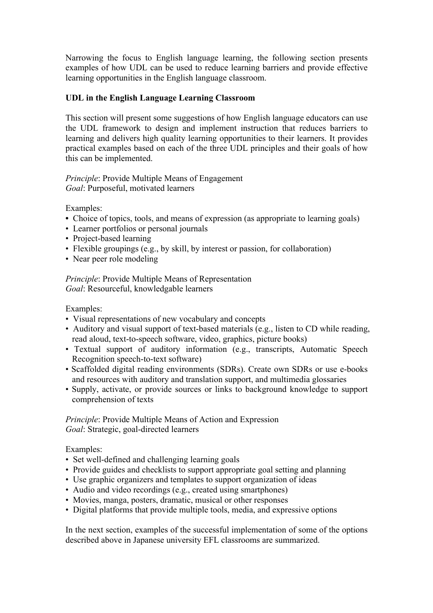Narrowing the focus to English language learning, the following section presents examples of how UDL can be used to reduce learning barriers and provide effective learning opportunities in the English language classroom.

# **UDL in the English Language Learning Classroom**

This section will present some suggestions of how English language educators can use the UDL framework to design and implement instruction that reduces barriers to learning and delivers high quality learning opportunities to their learners. It provides practical examples based on each of the three UDL principles and their goals of how this can be implemented.

## *Principle*: Provide Multiple Means of Engagement *Goal*: Purposeful, motivated learners

Examples:

- Choice of topics, tools, and means of expression (as appropriate to learning goals)
- Learner portfolios or personal journals
- Project-based learning
- Flexible groupings (e.g., by skill, by interest or passion, for collaboration)
- Near peer role modeling

*Principle*: Provide Multiple Means of Representation *Goal*: Resourceful, knowledgable learners

Examples:

- Visual representations of new vocabulary and concepts
- Auditory and visual support of text-based materials (e.g., listen to CD while reading, read aloud, text-to-speech software, video, graphics, picture books)
- Textual support of auditory information (e.g., transcripts, Automatic Speech Recognition speech-to-text software)
- Scaffolded digital reading environments (SDRs). Create own SDRs or use e-books and resources with auditory and translation support, and multimedia glossaries
- Supply, activate, or provide sources or links to background knowledge to support comprehension of texts

*Principle*: Provide Multiple Means of Action and Expression *Goal*: Strategic, goal-directed learners

Examples:

- Set well-defined and challenging learning goals
- Provide guides and checklists to support appropriate goal setting and planning
- Use graphic organizers and templates to support organization of ideas
- Audio and video recordings (e.g., created using smartphones)
- Movies, manga, posters, dramatic, musical or other responses
- Digital platforms that provide multiple tools, media, and expressive options

In the next section, examples of the successful implementation of some of the options described above in Japanese university EFL classrooms are summarized.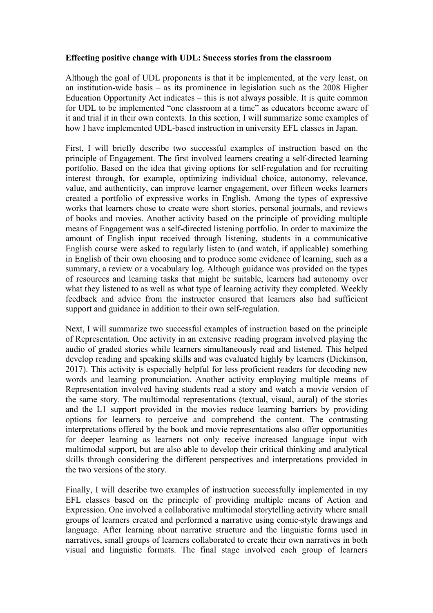## **Effecting positive change with UDL: Success stories from the classroom**

Although the goal of UDL proponents is that it be implemented, at the very least, on an institution-wide basis – as its prominence in legislation such as the 2008 Higher Education Opportunity Act indicates – this is not always possible. It is quite common for UDL to be implemented "one classroom at a time" as educators become aware of it and trial it in their own contexts. In this section, I will summarize some examples of how I have implemented UDL-based instruction in university EFL classes in Japan.

First, I will briefly describe two successful examples of instruction based on the principle of Engagement. The first involved learners creating a self-directed learning portfolio. Based on the idea that giving options for self-regulation and for recruiting interest through, for example, optimizing individual choice, autonomy, relevance, value, and authenticity, can improve learner engagement, over fifteen weeks learners created a portfolio of expressive works in English. Among the types of expressive works that learners chose to create were short stories, personal journals, and reviews of books and movies. Another activity based on the principle of providing multiple means of Engagement was a self-directed listening portfolio. In order to maximize the amount of English input received through listening, students in a communicative English course were asked to regularly listen to (and watch, if applicable) something in English of their own choosing and to produce some evidence of learning, such as a summary, a review or a vocabulary log. Although guidance was provided on the types of resources and learning tasks that might be suitable, learners had autonomy over what they listened to as well as what type of learning activity they completed. Weekly feedback and advice from the instructor ensured that learners also had sufficient support and guidance in addition to their own self-regulation.

Next, I will summarize two successful examples of instruction based on the principle of Representation. One activity in an extensive reading program involved playing the audio of graded stories while learners simultaneously read and listened. This helped develop reading and speaking skills and was evaluated highly by learners (Dickinson, 2017). This activity is especially helpful for less proficient readers for decoding new words and learning pronunciation. Another activity employing multiple means of Representation involved having students read a story and watch a movie version of the same story. The multimodal representations (textual, visual, aural) of the stories and the L1 support provided in the movies reduce learning barriers by providing options for learners to perceive and comprehend the content. The contrasting interpretations offered by the book and movie representations also offer opportunities for deeper learning as learners not only receive increased language input with multimodal support, but are also able to develop their critical thinking and analytical skills through considering the different perspectives and interpretations provided in the two versions of the story.

Finally, I will describe two examples of instruction successfully implemented in my EFL classes based on the principle of providing multiple means of Action and Expression. One involved a collaborative multimodal storytelling activity where small groups of learners created and performed a narrative using comic-style drawings and language. After learning about narrative structure and the linguistic forms used in narratives, small groups of learners collaborated to create their own narratives in both visual and linguistic formats. The final stage involved each group of learners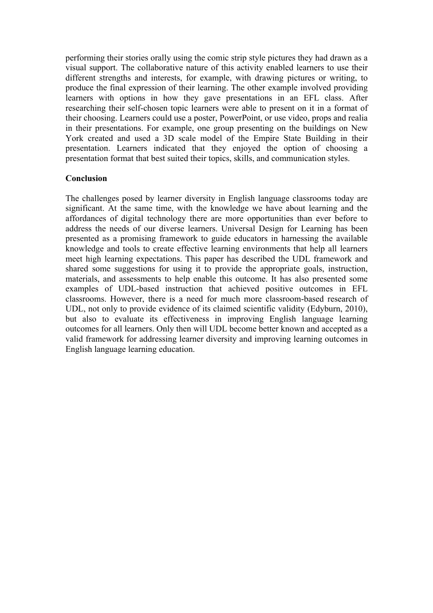performing their stories orally using the comic strip style pictures they had drawn as a visual support. The collaborative nature of this activity enabled learners to use their different strengths and interests, for example, with drawing pictures or writing, to produce the final expression of their learning. The other example involved providing learners with options in how they gave presentations in an EFL class. After researching their self-chosen topic learners were able to present on it in a format of their choosing. Learners could use a poster, PowerPoint, or use video, props and realia in their presentations. For example, one group presenting on the buildings on New York created and used a 3D scale model of the Empire State Building in their presentation. Learners indicated that they enjoyed the option of choosing a presentation format that best suited their topics, skills, and communication styles.

## **Conclusion**

The challenges posed by learner diversity in English language classrooms today are significant. At the same time, with the knowledge we have about learning and the affordances of digital technology there are more opportunities than ever before to address the needs of our diverse learners. Universal Design for Learning has been presented as a promising framework to guide educators in harnessing the available knowledge and tools to create effective learning environments that help all learners meet high learning expectations. This paper has described the UDL framework and shared some suggestions for using it to provide the appropriate goals, instruction, materials, and assessments to help enable this outcome. It has also presented some examples of UDL-based instruction that achieved positive outcomes in EFL classrooms. However, there is a need for much more classroom-based research of UDL, not only to provide evidence of its claimed scientific validity (Edyburn, 2010), but also to evaluate its effectiveness in improving English language learning outcomes for all learners. Only then will UDL become better known and accepted as a valid framework for addressing learner diversity and improving learning outcomes in English language learning education.